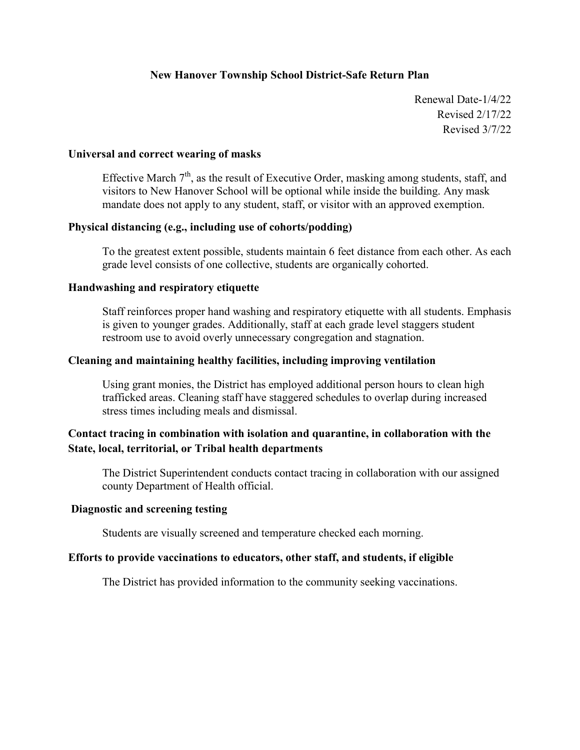### **New Hanover Township School District-Safe Return Plan**

Renewal Date-1/4/22 Revised 2/17/22 Revised 3/7/22

### **Universal and correct wearing of masks**

Effective March  $7<sup>th</sup>$ , as the result of Executive Order, masking among students, staff, and visitors to New Hanover School will be optional while inside the building. Any mask mandate does not apply to any student, staff, or visitor with an approved exemption.

### **Physical distancing (e.g., including use of cohorts/podding)**

To the greatest extent possible, students maintain 6 feet distance from each other. As each grade level consists of one collective, students are organically cohorted.

#### **Handwashing and respiratory etiquette**

Staff reinforces proper hand washing and respiratory etiquette with all students. Emphasis is given to younger grades. Additionally, staff at each grade level staggers student restroom use to avoid overly unnecessary congregation and stagnation.

### **Cleaning and maintaining healthy facilities, including improving ventilation**

Using grant monies, the District has employed additional person hours to clean high trafficked areas. Cleaning staff have staggered schedules to overlap during increased stress times including meals and dismissal.

### **Contact tracing in combination with isolation and quarantine, in collaboration with the State, local, territorial, or Tribal health departments**

The District Superintendent conducts contact tracing in collaboration with our assigned county Department of Health official.

### **Diagnostic and screening testing**

Students are visually screened and temperature checked each morning.

### **Efforts to provide vaccinations to educators, other staff, and students, if eligible**

The District has provided information to the community seeking vaccinations.